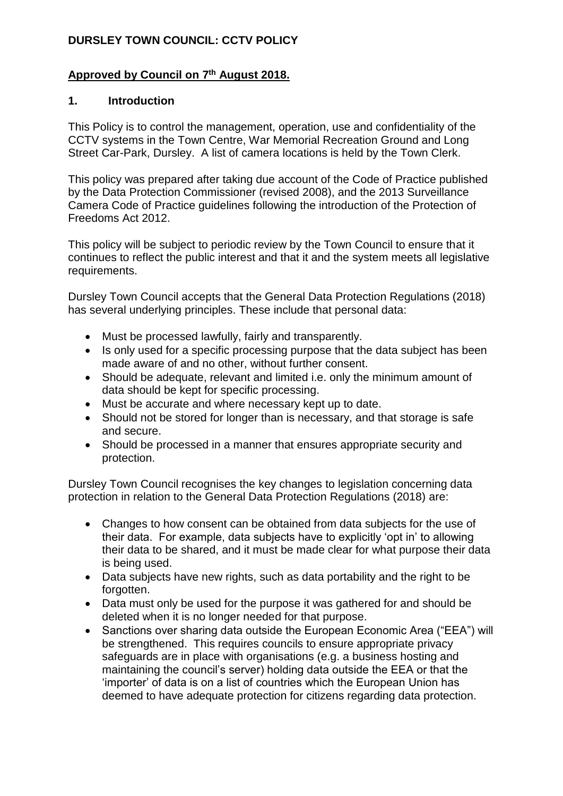## **DURSLEY TOWN COUNCIL: CCTV POLICY**

#### **Approved by Council on 7 th August 2018.**

#### **1. Introduction**

This Policy is to control the management, operation, use and confidentiality of the CCTV systems in the Town Centre, War Memorial Recreation Ground and Long Street Car-Park, Dursley. A list of camera locations is held by the Town Clerk.

This policy was prepared after taking due account of the Code of Practice published by the Data Protection Commissioner (revised 2008), and the 2013 Surveillance Camera Code of Practice guidelines following the introduction of the Protection of Freedoms Act 2012.

This policy will be subject to periodic review by the Town Council to ensure that it continues to reflect the public interest and that it and the system meets all legislative requirements.

Dursley Town Council accepts that the General Data Protection Regulations (2018) has several underlying principles. These include that personal data:

- Must be processed lawfully, fairly and transparently.
- Is only used for a specific processing purpose that the data subject has been made aware of and no other, without further consent.
- Should be adequate, relevant and limited i.e. only the minimum amount of data should be kept for specific processing.
- Must be accurate and where necessary kept up to date.
- Should not be stored for longer than is necessary, and that storage is safe and secure.
- Should be processed in a manner that ensures appropriate security and protection.

Dursley Town Council recognises the key changes to legislation concerning data protection in relation to the General Data Protection Regulations (2018) are:

- Changes to how consent can be obtained from data subjects for the use of their data. For example, data subjects have to explicitly 'opt in' to allowing their data to be shared, and it must be made clear for what purpose their data is being used.
- Data subjects have new rights, such as data portability and the right to be forgotten.
- Data must only be used for the purpose it was gathered for and should be deleted when it is no longer needed for that purpose.
- Sanctions over sharing data outside the European Economic Area ("EEA") will be strengthened. This requires councils to ensure appropriate privacy safeguards are in place with organisations (e.g. a business hosting and maintaining the council's server) holding data outside the EEA or that the 'importer' of data is on a list of countries which the European Union has deemed to have adequate protection for citizens regarding data protection.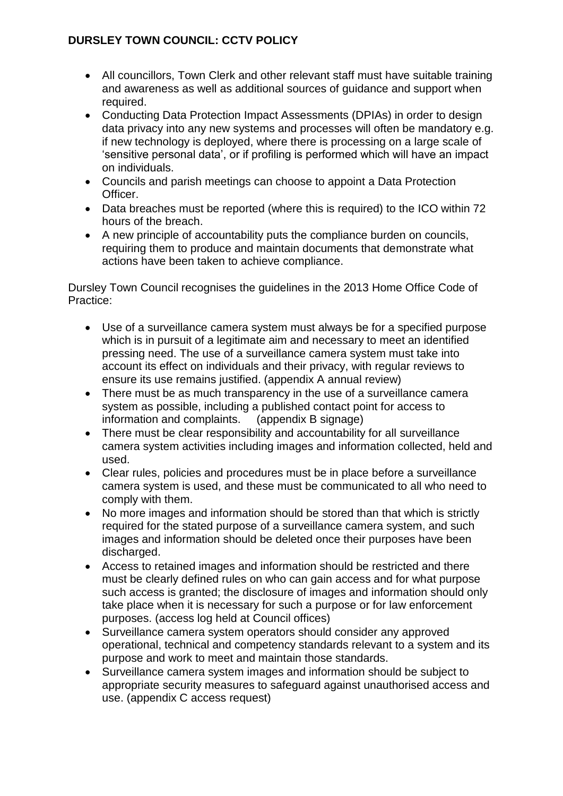# **DURSLEY TOWN COUNCIL: CCTV POLICY**

- All councillors, Town Clerk and other relevant staff must have suitable training and awareness as well as additional sources of guidance and support when required.
- Conducting Data Protection Impact Assessments (DPIAs) in order to design data privacy into any new systems and processes will often be mandatory e.g. if new technology is deployed, where there is processing on a large scale of 'sensitive personal data', or if profiling is performed which will have an impact on individuals.
- Councils and parish meetings can choose to appoint a Data Protection Officer.
- Data breaches must be reported (where this is required) to the ICO within 72 hours of the breach.
- A new principle of accountability puts the compliance burden on councils, requiring them to produce and maintain documents that demonstrate what actions have been taken to achieve compliance.

Dursley Town Council recognises the guidelines in the 2013 Home Office Code of Practice:

- Use of a surveillance camera system must always be for a specified purpose which is in pursuit of a legitimate aim and necessary to meet an identified pressing need. The use of a surveillance camera system must take into account its effect on individuals and their privacy, with regular reviews to ensure its use remains justified. (appendix A annual review)
- There must be as much transparency in the use of a surveillance camera system as possible, including a published contact point for access to information and complaints. (appendix B signage)
- There must be clear responsibility and accountability for all surveillance camera system activities including images and information collected, held and used.
- Clear rules, policies and procedures must be in place before a surveillance camera system is used, and these must be communicated to all who need to comply with them.
- No more images and information should be stored than that which is strictly required for the stated purpose of a surveillance camera system, and such images and information should be deleted once their purposes have been discharged.
- Access to retained images and information should be restricted and there must be clearly defined rules on who can gain access and for what purpose such access is granted; the disclosure of images and information should only take place when it is necessary for such a purpose or for law enforcement purposes. (access log held at Council offices)
- Surveillance camera system operators should consider any approved operational, technical and competency standards relevant to a system and its purpose and work to meet and maintain those standards.
- Surveillance camera system images and information should be subject to appropriate security measures to safeguard against unauthorised access and use. (appendix C access request)